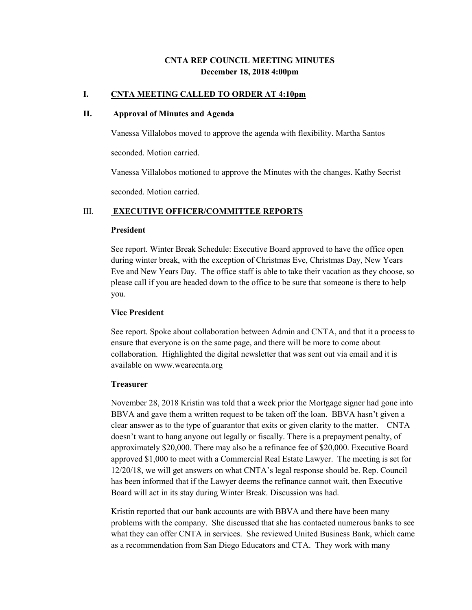# **CNTA REP COUNCIL MEETING MINUTES December 18, 2018 4:00pm**

### **I. CNTA MEETING CALLED TO ORDER AT 4:10pm**

### **II. Approval of Minutes and Agenda**

Vanessa Villalobos moved to approve the agenda with flexibility. Martha Santos

seconded. Motion carried.

Vanessa Villalobos motioned to approve the Minutes with the changes. Kathy Secrist

seconded. Motion carried.

### III. **EXECUTIVE OFFICER/COMMITTEE REPORTS**

#### **President**

See report. Winter Break Schedule: Executive Board approved to have the office open during winter break, with the exception of Christmas Eve, Christmas Day, New Years Eve and New Years Day. The office staff is able to take their vacation as they choose, so please call if you are headed down to the office to be sure that someone is there to help you.

#### **Vice President**

See report. Spoke about collaboration between Admin and CNTA, and that it a process to ensure that everyone is on the same page, and there will be more to come about collaboration. Highlighted the digital newsletter that was sent out via email and it is available on www.wearecnta.org

### **Treasurer**

November 28, 2018 Kristin was told that a week prior the Mortgage signer had gone into BBVA and gave them a written request to be taken off the loan. BBVA hasn't given a clear answer as to the type of guarantor that exits or given clarity to the matter. CNTA doesn't want to hang anyone out legally or fiscally. There is a prepayment penalty, of approximately \$20,000. There may also be a refinance fee of \$20,000. Executive Board approved \$1,000 to meet with a Commercial Real Estate Lawyer. The meeting is set for 12/20/18, we will get answers on what CNTA's legal response should be. Rep. Council has been informed that if the Lawyer deems the refinance cannot wait, then Executive Board will act in its stay during Winter Break. Discussion was had.

Kristin reported that our bank accounts are with BBVA and there have been many problems with the company. She discussed that she has contacted numerous banks to see what they can offer CNTA in services. She reviewed United Business Bank, which came as a recommendation from San Diego Educators and CTA. They work with many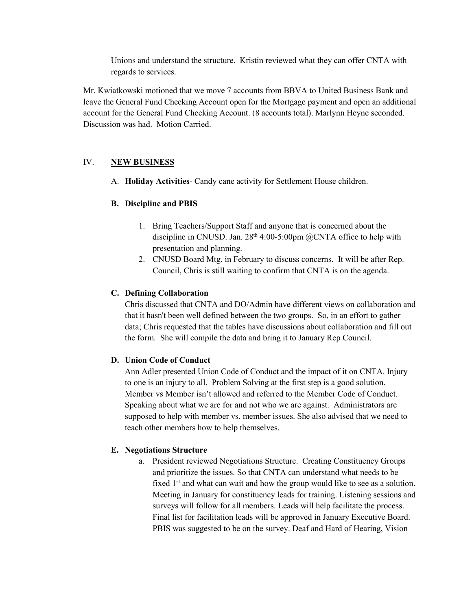Unions and understand the structure. Kristin reviewed what they can offer CNTA with regards to services.

Mr. Kwiatkowski motioned that we move 7 accounts from BBVA to United Business Bank and leave the General Fund Checking Account open for the Mortgage payment and open an additional account for the General Fund Checking Account. (8 accounts total). Marlynn Heyne seconded. Discussion was had. Motion Carried.

# IV. **NEW BUSINESS**

A. **Holiday Activities**- Candy cane activity for Settlement House children.

# **B. Discipline and PBIS**

- 1. Bring Teachers/Support Staff and anyone that is concerned about the discipline in CNUSD. Jan.  $28<sup>th</sup> 4:00-5:00$ pm @CNTA office to help with presentation and planning.
- 2. CNUSD Board Mtg. in February to discuss concerns. It will be after Rep. Council, Chris is still waiting to confirm that CNTA is on the agenda.

### **C. Defining Collaboration**

Chris discussed that CNTA and DO/Admin have different views on collaboration and that it hasn't been well defined between the two groups. So, in an effort to gather data; Chris requested that the tables have discussions about collaboration and fill out the form. She will compile the data and bring it to January Rep Council.

# **D. Union Code of Conduct**

Ann Adler presented Union Code of Conduct and the impact of it on CNTA. Injury to one is an injury to all. Problem Solving at the first step is a good solution. Member vs Member isn't allowed and referred to the Member Code of Conduct. Speaking about what we are for and not who we are against. Administrators are supposed to help with member vs. member issues. She also advised that we need to teach other members how to help themselves.

### **E. Negotiations Structure**

a. President reviewed Negotiations Structure. Creating Constituency Groups and prioritize the issues. So that CNTA can understand what needs to be fixed  $1<sup>st</sup>$  and what can wait and how the group would like to see as a solution. Meeting in January for constituency leads for training. Listening sessions and surveys will follow for all members. Leads will help facilitate the process. Final list for facilitation leads will be approved in January Executive Board. PBIS was suggested to be on the survey. Deaf and Hard of Hearing, Vision